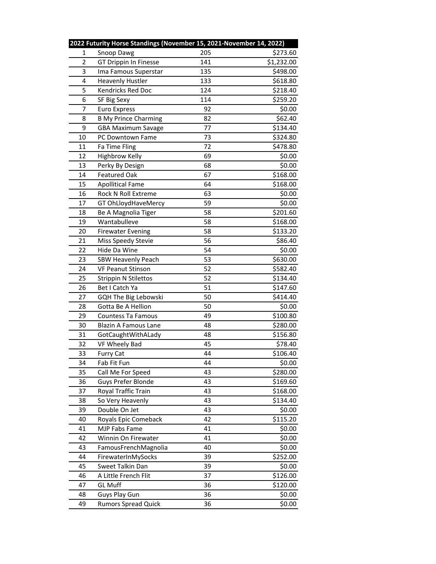|                | 2022 Futurity Horse Standings (November 15, 2021-November 14, 2022) |     |            |
|----------------|---------------------------------------------------------------------|-----|------------|
| 1              | Snoop Dawg                                                          | 205 | \$273.60   |
| $\overline{2}$ | GT Drippin In Finesse                                               | 141 | \$1,232.00 |
| 3              | Ima Famous Superstar                                                | 135 | \$498.00   |
| 4              | <b>Heavenly Hustler</b>                                             | 133 | \$618.80   |
| 5              | Kendricks Red Doc                                                   | 124 | \$218.40   |
| 6              | SF Big Sexy                                                         | 114 | \$259.20   |
| 7              | <b>Euro Express</b>                                                 | 92  | \$0.00     |
| 8              | <b>B My Prince Charming</b>                                         | 82  | \$62.40    |
| 9              | <b>GBA Maximum Savage</b>                                           | 77  | \$134.40   |
| 10             | PC Downtown Fame                                                    | 73  | \$324.80   |
| 11             | Fa Time Fling                                                       | 72  | \$478.80   |
| 12             | <b>Highbrow Kelly</b>                                               | 69  | \$0.00     |
| 13             | Perky By Design                                                     | 68  | \$0.00     |
| 14             | <b>Featured Oak</b>                                                 | 67  | \$168.00   |
| 15             | <b>Apollitical Fame</b>                                             | 64  | \$168.00   |
| 16             | Rock N Roll Extreme                                                 | 63  | \$0.00     |
| 17             | GT OhLloydHaveMercy                                                 | 59  | \$0.00     |
| 18             | Be A Magnolia Tiger                                                 | 58  | \$201.60   |
| 19             | Wantabulleve                                                        | 58  | \$168.00   |
| 20             | <b>Firewater Evening</b>                                            | 58  | \$133.20   |
| 21             | Miss Speedy Stevie                                                  | 56  | \$86.40    |
| 22             | Hide Da Wine                                                        | 54  | \$0.00     |
| 23             | <b>SBW Heavenly Peach</b>                                           | 53  | \$630.00   |
| 24             | <b>VF Peanut Stinson</b>                                            | 52  | \$582.40   |
| 25             | <b>Strippin N Stilettos</b>                                         | 52  | \$134.40   |
| 26             | Bet I Catch Ya                                                      | 51  | \$147.60   |
| 27             | GQH The Big Lebowski                                                | 50  | \$414.40   |
| 28             | Gotta Be A Hellion                                                  | 50  | \$0.00     |
| 29             | Countess Ta Famous                                                  | 49  | \$100.80   |
| 30             | Blazin A Famous Lane                                                | 48  | \$280.00   |
| 31             | GotCaughtWithALady                                                  | 48  | \$156.80   |
| 32             | VF Wheely Bad                                                       | 45  | \$78.40    |
| 33             | <b>Furry Cat</b>                                                    | 44  | \$106.40   |
| 34             | Fab Fit Fun                                                         | 44  | \$0.00     |
| 35             | Call Me For Speed                                                   | 43  | \$280.00   |
| 36             | Guys Prefer Blonde                                                  | 43  | \$169.60   |
| 37             | Royal Traffic Train                                                 | 43  | \$168.00   |
| 38             | So Very Heavenly                                                    | 43  | \$134.40   |
| 39             | Double On Jet                                                       | 43  | \$0.00     |
| 40             | Royals Epic Comeback                                                | 42  | \$115.20   |
| 41             | MJP Fabs Fame                                                       | 41  | \$0.00     |
| 42             | Winnin On Firewater                                                 | 41  | \$0.00     |
| 43             | FamousFrenchMagnolia                                                | 40  | \$0.00     |
| 44             | FirewaterInMySocks                                                  | 39  | \$252.00   |
| 45             | Sweet Talkin Dan                                                    | 39  | \$0.00     |
| 46             | A Little French Flit                                                | 37  | \$126.00   |
| 47             | <b>GL</b> Muff                                                      | 36  | \$120.00   |
| 48             | Guys Play Gun                                                       | 36  | \$0.00     |
| 49             | <b>Rumors Spread Quick</b>                                          | 36  | \$0.00     |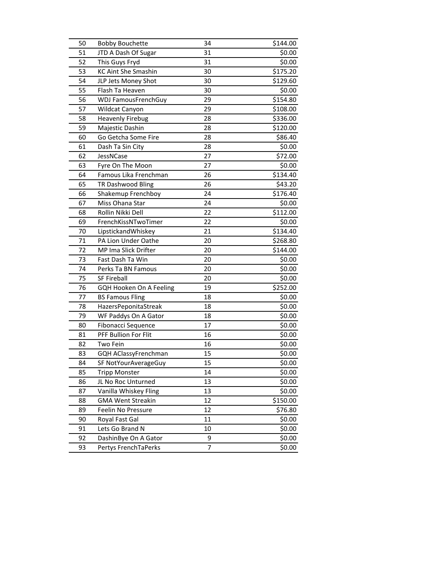| 50 | <b>Bobby Bouchette</b>     | 34 | \$144.00 |
|----|----------------------------|----|----------|
| 51 | JTD A Dash Of Sugar        | 31 | \$0.00   |
| 52 | This Guys Fryd             | 31 | \$0.00   |
| 53 | <b>KC Aint She Smashin</b> | 30 | \$175.20 |
| 54 | JLP Jets Money Shot        | 30 | \$129.60 |
| 55 | Flash Ta Heaven            | 30 | \$0.00   |
| 56 | <b>WDJ FamousFrenchGuy</b> | 29 | \$154.80 |
| 57 | Wildcat Canyon             | 29 | \$108.00 |
| 58 | <b>Heavenly Firebug</b>    | 28 | \$336.00 |
| 59 | Majestic Dashin            | 28 | \$120.00 |
| 60 | Go Getcha Some Fire        | 28 | \$86.40  |
| 61 | Dash Ta Sin City           | 28 | \$0.00   |
| 62 | JessNCase                  | 27 | \$72.00  |
| 63 | Fyre On The Moon           | 27 | \$0.00   |
| 64 | Famous Lika Frenchman      | 26 | \$134.40 |
| 65 | TR Dashwood Bling          | 26 | \$43.20  |
| 66 | Shakemup Frenchboy         | 24 | \$176.40 |
| 67 | Miss Ohana Star            | 24 | \$0.00   |
| 68 | Rollin Nikki Dell          | 22 | \$112.00 |
| 69 | FrenchKissNTwoTimer        | 22 | \$0.00   |
| 70 | LipstickandWhiskey         | 21 | \$134.40 |
| 71 | PA Lion Under Oathe        | 20 | \$268.80 |
| 72 | MP Ima Slick Drifter       | 20 | \$144.00 |
| 73 | Fast Dash Ta Win           | 20 | \$0.00   |
| 74 | Perks Ta BN Famous         | 20 | \$0.00   |
| 75 | <b>SF Fireball</b>         | 20 | \$0.00   |
| 76 | GQH Hooken On A Feeling    | 19 | \$252.00 |
| 77 | <b>BS Famous Fling</b>     | 18 | \$0.00   |
| 78 | HazersPeponitaStreak       | 18 | \$0.00   |
| 79 | WF Paddys On A Gator       | 18 | \$0.00   |
| 80 | Fibonacci Sequence         | 17 | \$0.00   |
| 81 | PFF Bullion For Flit       | 16 | \$0.00   |
| 82 | Two Fein                   | 16 | \$0.00   |
| 83 | GQH AClassyFrenchman       | 15 | \$0.00   |
| 84 | SF NotYourAverageGuy       | 15 | \$0.00   |
| 85 | <b>Tripp Monster</b>       | 14 | \$0.00   |
| 86 | JL No Roc Unturned         | 13 | \$0.00   |
| 87 | Vanilla Whiskey Fling      | 13 | \$0.00   |
| 88 | <b>GMA Went Streakin</b>   | 12 | \$150.00 |
| 89 | Feelin No Pressure         | 12 | \$76.80  |
| 90 | Royal Fast Gal             | 11 | \$0.00   |
| 91 | Lets Go Brand N            | 10 | \$0.00   |
| 92 | DashinBye On A Gator       | 9  | \$0.00   |
| 93 | Pertys FrenchTaPerks       | 7  | \$0.00   |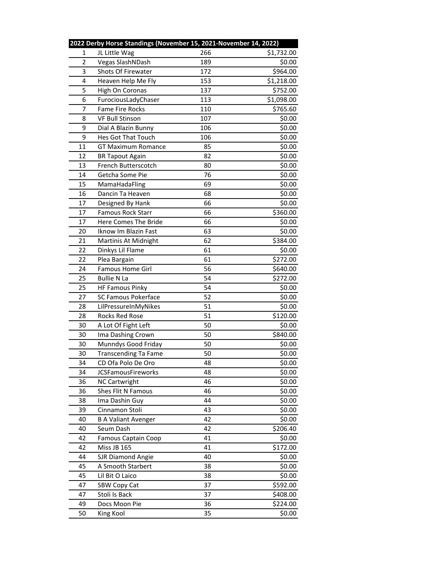|    | 2022 Derby Horse Standings (November 15, 2021-November 14, 2022) |     |            |
|----|------------------------------------------------------------------|-----|------------|
| 1  | JL Little Wag                                                    | 266 | \$1,732.00 |
| 2  | Vegas SlashNDash                                                 | 189 | \$0.00     |
| 3  | Shots Of Firewater                                               | 172 | \$964.00   |
| 4  | Heaven Help Me Fly                                               | 153 | \$1,218.00 |
| 5  | High On Coronas                                                  | 137 | \$752.00   |
| 6  | FurociousLadyChaser                                              | 113 | \$1,098.00 |
| 7  | <b>Fame Fire Rocks</b>                                           | 110 | \$765.60   |
| 8  | <b>VF Bull Stinson</b>                                           | 107 | \$0.00     |
| 9  | Dial A Blazin Bunny                                              | 106 | \$0.00     |
| 9  | Hes Got That Touch                                               | 106 | \$0.00     |
| 11 | <b>GT Maximum Romance</b>                                        | 85  | \$0.00     |
| 12 | <b>BR Tapout Again</b>                                           | 82  | \$0.00     |
| 13 | French Butterscotch                                              | 80  | \$0.00     |
| 14 | Getcha Some Pie                                                  | 76  | \$0.00     |
| 15 | MamaHadaFling                                                    | 69  | \$0.00     |
| 16 | Dancin Ta Heaven                                                 | 68  | \$0.00     |
| 17 | Designed By Hank                                                 | 66  | \$0.00     |
| 17 | Famous Rock Starr                                                | 66  | \$360.00   |
| 17 | Here Comes The Bride                                             | 66  | \$0.00     |
| 20 | Iknow Im Blazin Fast                                             | 63  | \$0.00     |
| 21 | Martinis At Midnight                                             | 62  | \$384.00   |
| 22 | Dinkys Lil Flame                                                 | 61  | \$0.00     |
| 22 | Plea Bargain                                                     | 61  | \$272.00   |
| 24 | Famous Home Girl                                                 | 56  | \$640.00   |
| 25 | <b>Bullie N La</b>                                               | 54  | \$272.00   |
| 25 | <b>HF Famous Pinky</b>                                           | 54  | \$0.00     |
| 27 | <b>SC Famous Pokerface</b>                                       | 52  | \$0.00     |
| 28 | LilPressureInMyNikes                                             | 51  | \$0.00     |
| 28 | Rocks Red Rose                                                   | 51  | \$120.00   |
| 30 | A Lot Of Fight Left                                              | 50  | \$0.00     |
| 30 | Ima Dashing Crown                                                | 50  | \$840.00   |
| 30 | Munndys Good Friday                                              | 50  | \$0.00     |
| 30 | <b>Transcending Ta Fame</b>                                      | 50  | \$0.00     |
| 34 | CD Ofa Polo De Oro                                               | 48  | \$0.00     |
| 34 | <b>JCSFamousFireworks</b>                                        | 48  | \$0.00     |
| 36 | <b>NC Cartwright</b>                                             | 46  | \$0.00     |
| 36 | Shes Flit N Famous                                               | 46  | \$0.00     |
| 38 | Ima Dashin Guy                                                   | 44  | \$0.00     |
| 39 | Cinnamon Stoli                                                   | 43  | \$0.00     |
| 40 | <b>B A Valiant Avenger</b>                                       | 42  | \$0.00     |
| 40 | Seum Dash                                                        | 42  | \$206.40   |
| 42 | <b>Famous Captain Coop</b>                                       | 41  | \$0.00     |
| 42 | Miss JB 165                                                      | 41  | \$172.00   |
| 44 | <b>SJR Diamond Angie</b>                                         | 40  | \$0.00     |
| 45 | A Smooth Starbert                                                | 38  | \$0.00     |
| 45 | Lil Bit O Laico                                                  | 38  | \$0.00     |
| 47 | SBW Copy Cat                                                     | 37  | \$592.00   |
| 47 | Stoli Is Back                                                    | 37  | \$408.00   |
| 49 | Docs Moon Pie                                                    | 36  | \$224.00   |
| 50 | King Kool                                                        | 35  | \$0.00     |